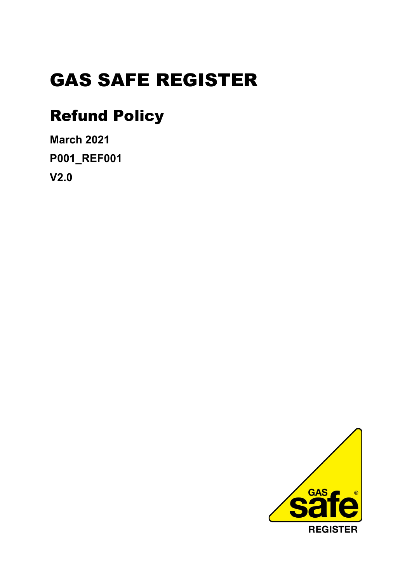# GAS SAFE REGISTER

## Refund Policy

**March 2021 P001\_REF001 V2.0** 

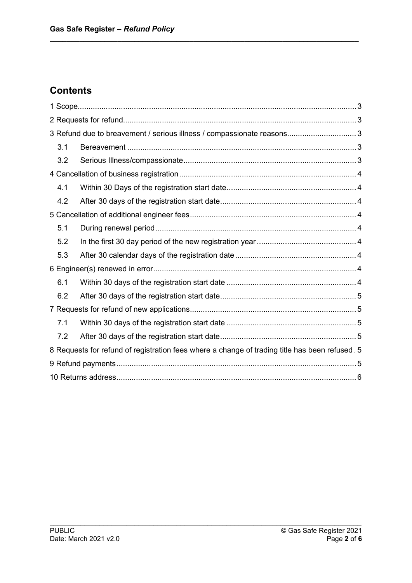## **Contents**

| 3 Refund due to breavement / serious illness / compassionate reasons 3                         |  |
|------------------------------------------------------------------------------------------------|--|
| 3.1                                                                                            |  |
| 3.2                                                                                            |  |
|                                                                                                |  |
| 4.1                                                                                            |  |
| 4.2                                                                                            |  |
|                                                                                                |  |
| 5.1                                                                                            |  |
| 5.2                                                                                            |  |
| 5.3                                                                                            |  |
|                                                                                                |  |
| 6.1                                                                                            |  |
| 6.2                                                                                            |  |
|                                                                                                |  |
| 7.1                                                                                            |  |
| 7.2                                                                                            |  |
| 8 Requests for refund of registration fees where a change of trading title has been refused. 5 |  |
|                                                                                                |  |
|                                                                                                |  |

**\_\_\_\_\_\_\_\_\_\_\_\_\_\_\_\_\_\_\_\_\_\_\_\_\_\_\_\_\_\_\_\_\_\_\_\_\_\_\_\_\_\_\_\_\_\_\_\_\_\_\_\_\_\_\_\_\_\_\_\_\_\_\_\_\_\_\_\_\_\_\_\_\_**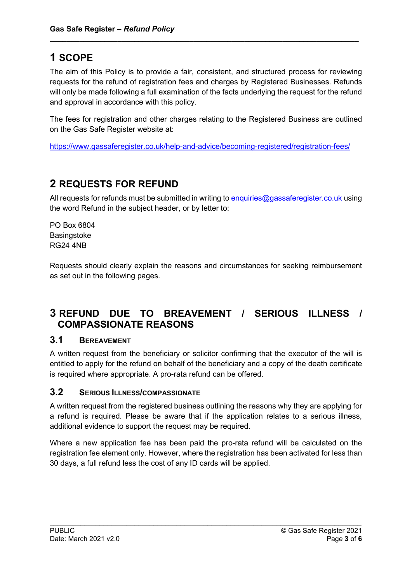## <span id="page-2-0"></span>**1 SCOPE**

The aim of this Policy is to provide a fair, consistent, and structured process for reviewing requests for the refund of registration fees and charges by Registered Businesses. Refunds will only be made following a full examination of the facts underlying the request for the refund and approval in accordance with this policy.

**\_\_\_\_\_\_\_\_\_\_\_\_\_\_\_\_\_\_\_\_\_\_\_\_\_\_\_\_\_\_\_\_\_\_\_\_\_\_\_\_\_\_\_\_\_\_\_\_\_\_\_\_\_\_\_\_\_\_\_\_\_\_\_\_\_\_\_\_\_\_\_\_\_**

The fees for registration and other charges relating to the Registered Business are outlined on the Gas Safe Register website at:

<https://www.gassaferegister.co.uk/help-and-advice/becoming-registered/registration-fees/>

## <span id="page-2-1"></span>**2 REQUESTS FOR REFUND**

All requests for refunds must be submitted in writing to [enquiries@gassaferegister.co.uk](mailto:enquiries@gassaferegister.co.uk) using the word Refund in the subject header, or by letter to:

PO Box 6804 **Basingstoke** RG24 4NB

Requests should clearly explain the reasons and circumstances for seeking reimbursement as set out in the following pages.

## <span id="page-2-2"></span>**3 REFUND DUE TO BREAVEMENT / SERIOUS ILLNESS / COMPASSIONATE REASONS**

#### <span id="page-2-3"></span>**3.1 BEREAVEMENT**

A written request from the beneficiary or solicitor confirming that the executor of the will is entitled to apply for the refund on behalf of the beneficiary and a copy of the death certificate is required where appropriate. A pro-rata refund can be offered.

#### <span id="page-2-4"></span>**3.2 SERIOUS ILLNESS/COMPASSIONATE**

A written request from the registered business outlining the reasons why they are applying for a refund is required. Please be aware that if the application relates to a serious illness, additional evidence to support the request may be required.

Where a new application fee has been paid the pro-rata refund will be calculated on the registration fee element only. However, where the registration has been activated for less than 30 days, a full refund less the cost of any ID cards will be applied.

\_\_\_\_\_\_\_\_\_\_\_\_\_\_\_\_\_\_\_\_\_\_\_\_\_\_\_\_\_\_\_\_\_\_\_\_\_\_\_\_\_\_\_\_\_\_\_\_\_\_\_\_\_\_\_\_\_\_\_\_\_\_\_\_\_\_\_\_\_\_\_\_\_\_\_\_\_\_\_\_\_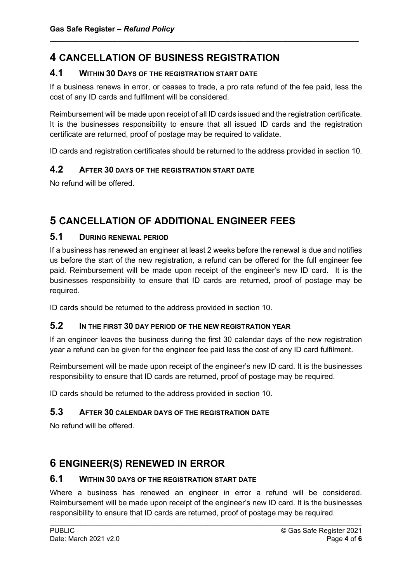## <span id="page-3-0"></span>**4 CANCELLATION OF BUSINESS REGISTRATION**

#### <span id="page-3-1"></span>**4.1 WITHIN 30 DAYS OF THE REGISTRATION START DATE**

If a business renews in error, or ceases to trade, a pro rata refund of the fee paid, less the cost of any ID cards and fulfilment will be considered.

**\_\_\_\_\_\_\_\_\_\_\_\_\_\_\_\_\_\_\_\_\_\_\_\_\_\_\_\_\_\_\_\_\_\_\_\_\_\_\_\_\_\_\_\_\_\_\_\_\_\_\_\_\_\_\_\_\_\_\_\_\_\_\_\_\_\_\_\_\_\_\_\_\_**

Reimbursement will be made upon receipt of all ID cards issued and the registration certificate. It is the businesses responsibility to ensure that all issued ID cards and the registration certificate are returned, proof of postage may be required to validate.

ID cards and registration certificates should be returned to the address provided in section 10.

#### <span id="page-3-2"></span>**4.2 AFTER 30 DAYS OF THE REGISTRATION START DATE**

No refund will be offered.

## <span id="page-3-3"></span>**5 CANCELLATION OF ADDITIONAL ENGINEER FEES**

#### <span id="page-3-4"></span>**5.1 DURING RENEWAL PERIOD**

If a business has renewed an engineer at least 2 weeks before the renewal is due and notifies us before the start of the new registration, a refund can be offered for the full engineer fee paid. Reimbursement will be made upon receipt of the engineer's new ID card. It is the businesses responsibility to ensure that ID cards are returned, proof of postage may be required.

ID cards should be returned to the address provided in section 10.

#### <span id="page-3-5"></span>**5.2 IN THE FIRST 30 DAY PERIOD OF THE NEW REGISTRATION YEAR**

If an engineer leaves the business during the first 30 calendar days of the new registration year a refund can be given for the engineer fee paid less the cost of any ID card fulfilment.

Reimbursement will be made upon receipt of the engineer's new ID card. It is the businesses responsibility to ensure that ID cards are returned, proof of postage may be required.

ID cards should be returned to the address provided in section 10.

#### <span id="page-3-6"></span>**5.3 AFTER 30 CALENDAR DAYS OF THE REGISTRATION DATE**

No refund will be offered.

## <span id="page-3-7"></span>**6 ENGINEER(S) RENEWED IN ERROR**

#### <span id="page-3-8"></span>**6.1 WITHIN 30 DAYS OF THE REGISTRATION START DATE**

Where a business has renewed an engineer in error a refund will be considered. Reimbursement will be made upon receipt of the engineer's new ID card. It is the businesses responsibility to ensure that ID cards are returned, proof of postage may be required.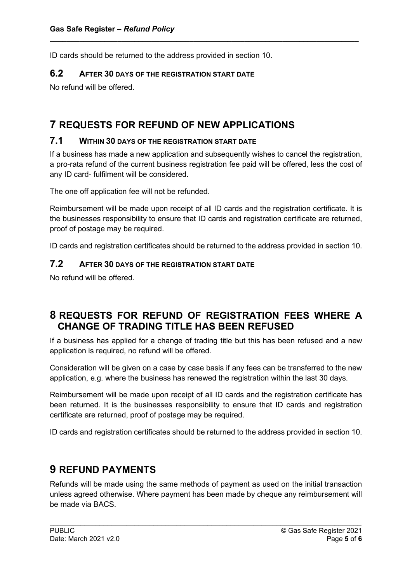ID cards should be returned to the address provided in section 10.

#### <span id="page-4-0"></span>**6.2 AFTER 30 DAYS OF THE REGISTRATION START DATE**

No refund will be offered.

## <span id="page-4-1"></span>**7 REQUESTS FOR REFUND OF NEW APPLICATIONS**

#### <span id="page-4-2"></span>**7.1 WITHIN 30 DAYS OF THE REGISTRATION START DATE**

If a business has made a new application and subsequently wishes to cancel the registration, a pro-rata refund of the current business registration fee paid will be offered, less the cost of any ID card- fulfilment will be considered.

**\_\_\_\_\_\_\_\_\_\_\_\_\_\_\_\_\_\_\_\_\_\_\_\_\_\_\_\_\_\_\_\_\_\_\_\_\_\_\_\_\_\_\_\_\_\_\_\_\_\_\_\_\_\_\_\_\_\_\_\_\_\_\_\_\_\_\_\_\_\_\_\_\_**

The one off application fee will not be refunded.

Reimbursement will be made upon receipt of all ID cards and the registration certificate. It is the businesses responsibility to ensure that ID cards and registration certificate are returned, proof of postage may be required.

ID cards and registration certificates should be returned to the address provided in section 10.

#### <span id="page-4-3"></span>**7.2 AFTER 30 DAYS OF THE REGISTRATION START DATE**

No refund will be offered.

### <span id="page-4-4"></span>**8 REQUESTS FOR REFUND OF REGISTRATION FEES WHERE A CHANGE OF TRADING TITLE HAS BEEN REFUSED**

If a business has applied for a change of trading title but this has been refused and a new application is required, no refund will be offered.

Consideration will be given on a case by case basis if any fees can be transferred to the new application, e.g. where the business has renewed the registration within the last 30 days.

Reimbursement will be made upon receipt of all ID cards and the registration certificate has been returned. It is the businesses responsibility to ensure that ID cards and registration certificate are returned, proof of postage may be required.

ID cards and registration certificates should be returned to the address provided in section 10.

## <span id="page-4-5"></span>**9 REFUND PAYMENTS**

Refunds will be made using the same methods of payment as used on the initial transaction unless agreed otherwise. Where payment has been made by cheque any reimbursement will be made via BACS.

\_\_\_\_\_\_\_\_\_\_\_\_\_\_\_\_\_\_\_\_\_\_\_\_\_\_\_\_\_\_\_\_\_\_\_\_\_\_\_\_\_\_\_\_\_\_\_\_\_\_\_\_\_\_\_\_\_\_\_\_\_\_\_\_\_\_\_\_\_\_\_\_\_\_\_\_\_\_\_\_\_